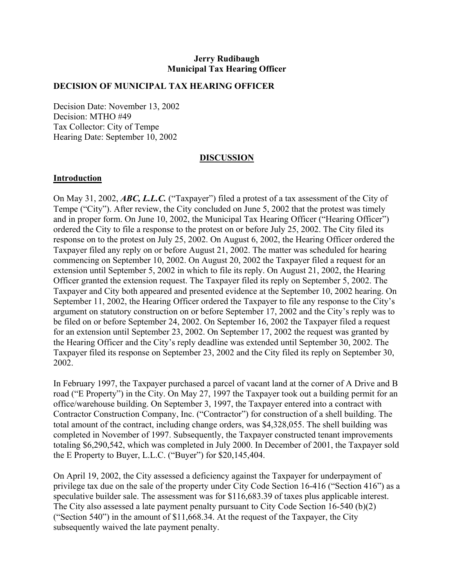## **Jerry Rudibaugh Municipal Tax Hearing Officer**

## **DECISION OF MUNICIPAL TAX HEARING OFFICER**

Decision Date: November 13, 2002 Decision: MTHO #49 Tax Collector: City of Tempe Hearing Date: September 10, 2002

## **DISCUSSION**

#### **Introduction**

On May 31, 2002, *ABC, L.L.C.* ("Taxpayer") filed a protest of a tax assessment of the City of Tempe ("City"). After review, the City concluded on June 5, 2002 that the protest was timely and in proper form. On June 10, 2002, the Municipal Tax Hearing Officer ("Hearing Officer") ordered the City to file a response to the protest on or before July 25, 2002. The City filed its response on to the protest on July 25, 2002. On August 6, 2002, the Hearing Officer ordered the Taxpayer filed any reply on or before August 21, 2002. The matter was scheduled for hearing commencing on September 10, 2002. On August 20, 2002 the Taxpayer filed a request for an extension until September 5, 2002 in which to file its reply. On August 21, 2002, the Hearing Officer granted the extension request. The Taxpayer filed its reply on September 5, 2002. The Taxpayer and City both appeared and presented evidence at the September 10, 2002 hearing. On September 11, 2002, the Hearing Officer ordered the Taxpayer to file any response to the City's argument on statutory construction on or before September 17, 2002 and the City's reply was to be filed on or before September 24, 2002. On September 16, 2002 the Taxpayer filed a request for an extension until September 23, 2002. On September 17, 2002 the request was granted by the Hearing Officer and the City's reply deadline was extended until September 30, 2002. The Taxpayer filed its response on September 23, 2002 and the City filed its reply on September 30, 2002.

In February 1997, the Taxpayer purchased a parcel of vacant land at the corner of A Drive and B road ("E Property") in the City. On May 27, 1997 the Taxpayer took out a building permit for an office/warehouse building. On September 3, 1997, the Taxpayer entered into a contract with Contractor Construction Company, Inc. ("Contractor") for construction of a shell building. The total amount of the contract, including change orders, was \$4,328,055. The shell building was completed in November of 1997. Subsequently, the Taxpayer constructed tenant improvements totaling \$6,290,542, which was completed in July 2000. In December of 2001, the Taxpayer sold the E Property to Buyer, L.L.C. ("Buyer") for \$20,145,404.

On April 19, 2002, the City assessed a deficiency against the Taxpayer for underpayment of privilege tax due on the sale of the property under City Code Section 16-416 ("Section 416") as a speculative builder sale. The assessment was for \$116,683.39 of taxes plus applicable interest. The City also assessed a late payment penalty pursuant to City Code Section 16-540 (b)(2) ("Section 540") in the amount of \$11,668.34. At the request of the Taxpayer, the City subsequently waived the late payment penalty.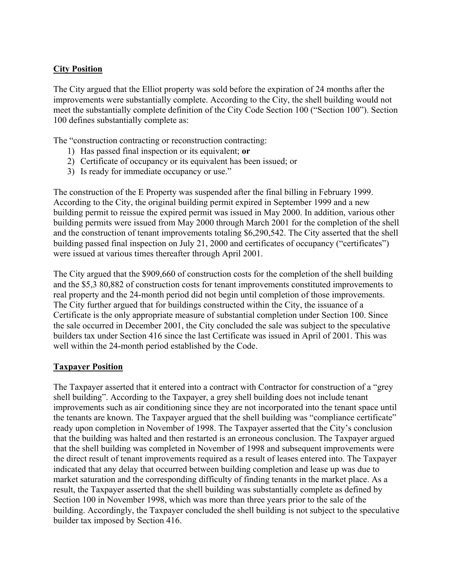# **City Position**

The City argued that the Elliot property was sold before the expiration of 24 months after the improvements were substantially complete. According to the City, the shell building would not meet the substantially complete definition of the City Code Section 100 ("Section 100"). Section 100 defines substantially complete as:

The "construction contracting or reconstruction contracting:

- 1) Has passed final inspection or its equivalent; **or**
- 2) Certificate of occupancy or its equivalent has been issued; or
- 3) Is ready for immediate occupancy or use."

The construction of the E Property was suspended after the final billing in February 1999. According to the City, the original building permit expired in September 1999 and a new building permit to reissue the expired permit was issued in May 2000. In addition, various other building permits were issued from May 2000 through March 2001 for the completion of the shell and the construction of tenant improvements totaling \$6,290,542. The City asserted that the shell building passed final inspection on July 21, 2000 and certificates of occupancy ("certificates") were issued at various times thereafter through April 2001.

The City argued that the \$909,660 of construction costs for the completion of the shell building and the \$5,3 80,882 of construction costs for tenant improvements constituted improvements to real property and the 24-month period did not begin until completion of those improvements. The City further argued that for buildings constructed within the City, the issuance of a Certificate is the only appropriate measure of substantial completion under Section 100. Since the sale occurred in December 2001, the City concluded the sale was subject to the speculative builders tax under Section 416 since the last Certificate was issued in April of 2001. This was well within the 24-month period established by the Code.

## **Taxpayer Position**

The Taxpayer asserted that it entered into a contract with Contractor for construction of a "grey shell building". According to the Taxpayer, a grey shell building does not include tenant improvements such as air conditioning since they are not incorporated into the tenant space until the tenants are known. The Taxpayer argued that the shell building was "compliance certificate" ready upon completion in November of 1998. The Taxpayer asserted that the City's conclusion that the building was halted and then restarted is an erroneous conclusion. The Taxpayer argued that the shell building was completed in November of 1998 and subsequent improvements were the direct result of tenant improvements required as a result of leases entered into. The Taxpayer indicated that any delay that occurred between building completion and lease up was due to market saturation and the corresponding difficulty of finding tenants in the market place. As a result, the Taxpayer asserted that the shell building was substantially complete as defined by Section 100 in November 1998, which was more than three years prior to the sale of the building. Accordingly, the Taxpayer concluded the shell building is not subject to the speculative builder tax imposed by Section 416.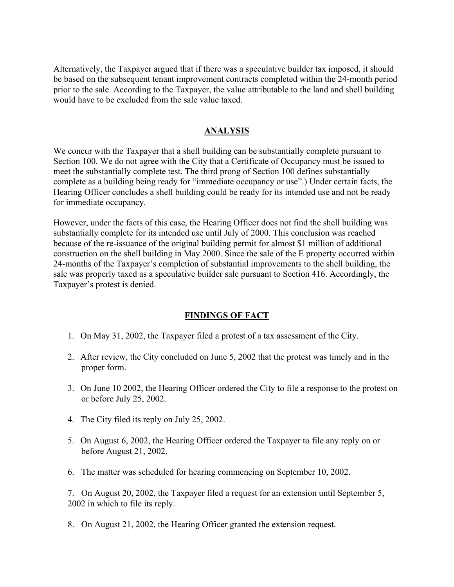Alternatively, the Taxpayer argued that if there was a speculative builder tax imposed, it should be based on the subsequent tenant improvement contracts completed within the 24-month period prior to the sale. According to the Taxpayer, the value attributable to the land and shell building would have to be excluded from the sale value taxed.

## **ANALYSIS**

We concur with the Taxpayer that a shell building can be substantially complete pursuant to Section 100. We do not agree with the City that a Certificate of Occupancy must be issued to meet the substantially complete test. The third prong of Section 100 defines substantially complete as a building being ready for "immediate occupancy or use".) Under certain facts, the Hearing Officer concludes a shell building could be ready for its intended use and not be ready for immediate occupancy.

However, under the facts of this case, the Hearing Officer does not find the shell building was substantially complete for its intended use until July of 2000. This conclusion was reached because of the re-issuance of the original building permit for almost \$1 million of additional construction on the shell building in May 2000. Since the sale of the E property occurred within 24-months of the Taxpayer's completion of substantial improvements to the shell building, the sale was properly taxed as a speculative builder sale pursuant to Section 416. Accordingly, the Taxpayer's protest is denied.

## **FINDINGS OF FACT**

- 1. On May 31, 2002, the Taxpayer filed a protest of a tax assessment of the City.
- 2. After review, the City concluded on June 5, 2002 that the protest was timely and in the proper form.
- 3. On June 10 2002, the Hearing Officer ordered the City to file a response to the protest on or before July 25, 2002.
- 4. The City filed its reply on July 25, 2002.
- 5. On August 6, 2002, the Hearing Officer ordered the Taxpayer to file any reply on or before August 21, 2002.
- 6. The matter was scheduled for hearing commencing on September 10, 2002.

7. On August 20, 2002, the Taxpayer filed a request for an extension until September 5, 2002 in which to file its reply.

8. On August 21, 2002, the Hearing Officer granted the extension request.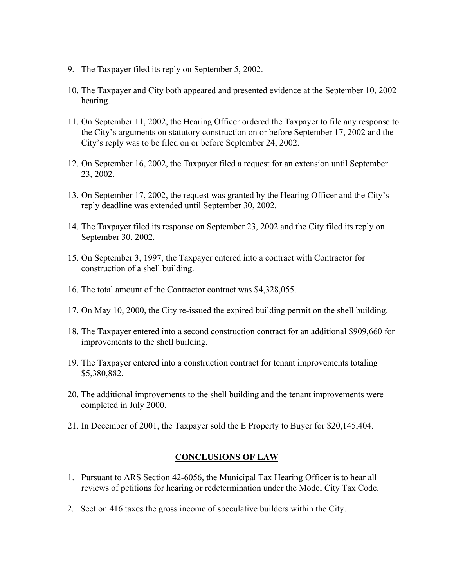- 9. The Taxpayer filed its reply on September 5, 2002.
- 10. The Taxpayer and City both appeared and presented evidence at the September 10, 2002 hearing.
- 11. On September 11, 2002, the Hearing Officer ordered the Taxpayer to file any response to the City's arguments on statutory construction on or before September 17, 2002 and the City's reply was to be filed on or before September 24, 2002.
- 12. On September 16, 2002, the Taxpayer filed a request for an extension until September 23, 2002.
- 13. On September 17, 2002, the request was granted by the Hearing Officer and the City's reply deadline was extended until September 30, 2002.
- 14. The Taxpayer filed its response on September 23, 2002 and the City filed its reply on September 30, 2002.
- 15. On September 3, 1997, the Taxpayer entered into a contract with Contractor for construction of a shell building.
- 16. The total amount of the Contractor contract was \$4,328,055.
- 17. On May 10, 2000, the City re-issued the expired building permit on the shell building.
- 18. The Taxpayer entered into a second construction contract for an additional \$909,660 for improvements to the shell building.
- 19. The Taxpayer entered into a construction contract for tenant improvements totaling \$5,380,882.
- 20. The additional improvements to the shell building and the tenant improvements were completed in July 2000.
- 21. In December of 2001, the Taxpayer sold the E Property to Buyer for \$20,145,404.

## **CONCLUSIONS OF LAW**

- 1. Pursuant to ARS Section 42-6056, the Municipal Tax Hearing Officer is to hear all reviews of petitions for hearing or redetermination under the Model City Tax Code.
- 2. Section 416 taxes the gross income of speculative builders within the City.